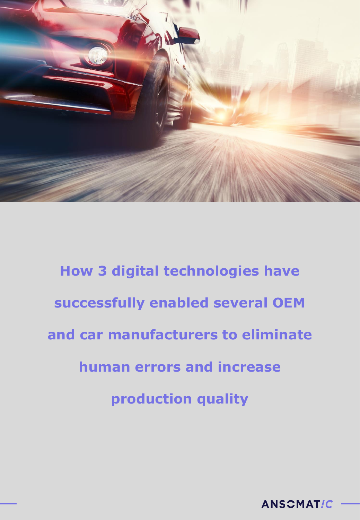

**How 3 digital technologies have successfully enabled several OEM and car manufacturers to eliminate human errors and increase production quality**

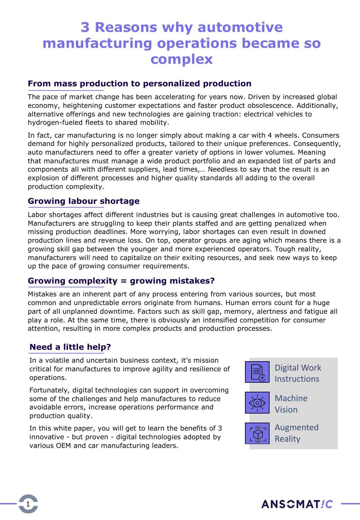## **3 Reasons why automotive manufacturing operations became so complex**

#### **From mass production to personalized production**

The pace of market change has been accelerating for years now. Driven by increased global economy, heightening customer expectations and faster product obsolescence. Additionally, alternative offerings and new technologies are gaining traction: electrical vehicles to hydrogen-fueled fleets to shared mobility.

In fact, car manufacturing is no longer simply about making a car with 4 wheels. Consumers demand for highly personalized products, tailored to their unique preferences. Consequently, auto manufacturers need to offer a greater variety of options in lower volumes. Meaning that manufactures must manage a wide product portfolio and an expanded list of parts and components all with different suppliers, lead times,… Needless to say that the result is an explosion of different processes and higher quality standards all adding to the overall production complexity.

#### **Growing labour shortage**

Labor shortages affect different industries but is causing great challenges in automotive too. Manufacturers are struggling to keep their plants staffed and are getting penalized when missing production deadlines. More worrying, labor shortages can even result in downed production lines and revenue loss. On top, operator groups are aging which means there is a growing skill gap between the younger and more experienced operators. Tough reality, manufacturers will need to capitalize on their exiting resources, and seek new ways to keep up the pace of growing consumer requirements.

#### **Growing complexity = growing mistakes?**

Mistakes are an inherent part of any process entering from various sources, but most common and unpredictable errors originate from humans. Human errors count for a huge part of all unplanned downtime. Factors such as skill gap, memory, alertness and fatigue all play a role. At the same time, there is obviously an intensified competition for consumer attention, resulting in more complex products and production processes.

#### **Need a little help?**

1

In a volatile and uncertain business context, it's mission critical for manufactures to improve agility and resilience of operations.

Fortunately, digital technologies can support in overcoming some of the challenges and help manufactures to reduce avoidable errors, increase operations performance and production quality.

In this white paper, you will get to learn the benefits of 3 innovative - but proven - digital technologies adopted by various OEM and car manufacturing leaders.



Digital Work **Instructions** 



Machine Vision



Augmented **Reality** 

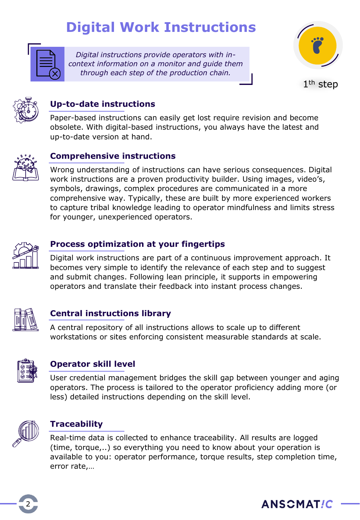## **Digital Work Instructions**

*Digital instructions provide operators with incontext information on a monitor and guide them through each step of the production chain.* 







## **Up-to-date instructions**

Paper-based instructions can easily get lost require revision and become obsolete. With digital-based instructions, you always have the latest and up-to-date version at hand.



#### **Comprehensive instructions**

Wrong understanding of instructions can have serious consequences. Digital work instructions are a proven productivity builder. Using images, video's, symbols, drawings, complex procedures are communicated in a more comprehensive way. Typically, these are built by more experienced workers to capture tribal knowledge leading to operator mindfulness and limits stress for younger, unexperienced operators.



### **Process optimization at your fingertips**

Digital work instructions are part of a continuous improvement approach. It becomes very simple to identify the relevance of each step and to suggest and submit changes. Following lean principle, it supports in empowering operators and translate their feedback into instant process changes.



#### **Central instructions library**

A central repository of all instructions allows to scale up to different workstations or sites enforcing consistent measurable standards at scale.



#### **Operator skill level**

User credential management bridges the skill gap between younger and aging operators. The process is tailored to the operator proficiency adding more (or less) detailed instructions depending on the skill level.



#### **Traceability**

Real-time data is collected to enhance traceability. All results are logged (time, torque,..) so everything you need to know about your operation is available to you: operator performance, torque results, step completion time, error rate,…



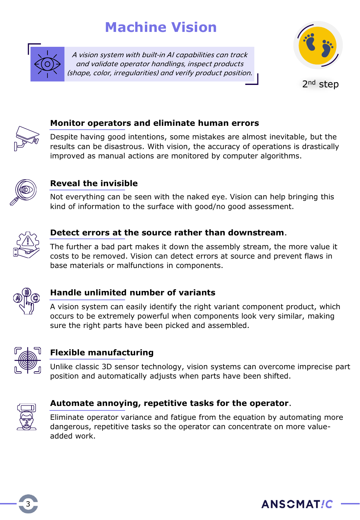## **Machine Vision**



A vision system with built-in AI capabilities can track and validate operator handlings, inspect products (shape, color, irregularities) and verify product position.



2<sup>nd</sup> step



#### **Monitor operators and eliminate human errors**

Despite having good intentions, some mistakes are almost inevitable, but the results can be disastrous. With vision, the accuracy of operations is drastically improved as manual actions are monitored by computer algorithms.



### **Reveal the invisible**

Not everything can be seen with the naked eye. Vision can help bringing this kind of information to the surface with good/no good assessment.



### **Detect errors at the source rather than downstream**.

The further a bad part makes it down the assembly stream, the more value it costs to be removed. Vision can detect errors at source and prevent flaws in base materials or malfunctions in components.



#### **Handle unlimited number of variants**

A vision system can easily identify the right variant component product, which occurs to be extremely powerful when components look very similar, making sure the right parts have been picked and assembled.



#### **Flexible manufacturing**

Unlike classic 3D sensor technology, vision systems can overcome imprecise part position and automatically adjusts when parts have been shifted.



#### **Automate annoying, repetitive tasks for the operator**.

Eliminate operator variance and fatigue from the equation by automating more dangerous, repetitive tasks so the operator can concentrate on more valueadded work.

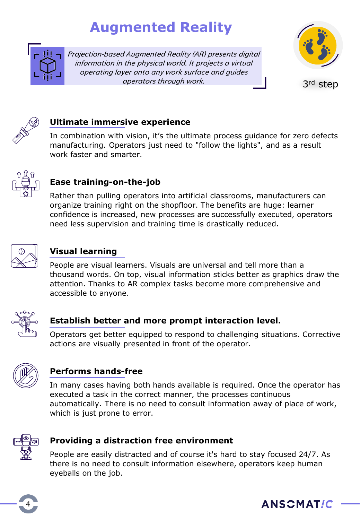## **Augmented Reality**



Projection-based Augmented Reality (AR) presents digital information in the physical world. It projects a virtual operating layer onto any work surface and guides operators through work. 3rd step





#### **Ultimate immersive experience**

In combination with vision, it's the ultimate process guidance for zero defects manufacturing. Operators just need to "follow the lights", and as a result work faster and smarter.



## **Ease training-on-the-job**

Rather than pulling operators into artificial classrooms, manufacturers can organize training right on the shopfloor. The benefits are huge: learner confidence is increased, new processes are successfully executed, operators need less supervision and training time is drastically reduced.



### **Visual learning**

People are visual learners. Visuals are universal and tell more than a thousand words. On top, visual information sticks better as graphics draw the attention. Thanks to AR complex tasks become more comprehensive and accessible to anyone.



## **Establish better and more prompt interaction level.**

Operators get better equipped to respond to challenging situations. Corrective actions are visually presented in front of the operator.



## **Performs hands-free**

In many cases having both hands available is required. Once the operator has executed a task in the correct manner, the processes continuous automatically. There is no need to consult information away of place of work, which is just prone to error.



#### **Providing a distraction free environment**

People are easily distracted and of course it's hard to stay focused 24/7. As there is no need to consult information elsewhere, operators keep human eyeballs on the job.